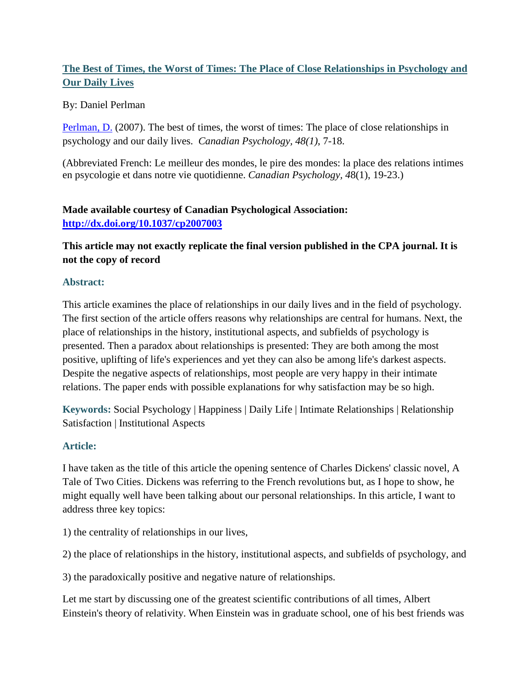# **The Best of Times, the Worst of Times: The Place of Close Relationships in Psychology and Our Daily Lives**

### By: Daniel Perlman

[Perlman, D.](http://libres.uncg.edu/ir/uncg/clist.aspx?id=1374) (2007). The best of times, the worst of times: The place of close relationships in psychology and our daily lives. *Canadian Psychology, 48(1)*, 7-18.

(Abbreviated French: Le meilleur des mondes, le pire des mondes: la place des relations intimes en psycologie et dans notre vie quotidienne. *Canadian Psychology, 4*8(1), 19-23.)

# **Made available courtesy of Canadian Psychological Association: <http://dx.doi.org/10.1037/cp2007003>**

# **This article may not exactly replicate the final version published in the CPA journal. It is not the copy of record**

### **Abstract:**

This article examines the place of relationships in our daily lives and in the field of psychology. The first section of the article offers reasons why relationships are central for humans. Next, the place of relationships in the history, institutional aspects, and subfields of psychology is presented. Then a paradox about relationships is presented: They are both among the most positive, uplifting of life's experiences and yet they can also be among life's darkest aspects. Despite the negative aspects of relationships, most people are very happy in their intimate relations. The paper ends with possible explanations for why satisfaction may be so high.

**Keywords:** Social Psychology | Happiness | Daily Life | Intimate Relationships | Relationship Satisfaction | Institutional Aspects

### **Article:**

I have taken as the title of this article the opening sentence of Charles Dickens' classic novel, A Tale of Two Cities. Dickens was referring to the French revolutions but, as I hope to show, he might equally well have been talking about our personal relationships. In this article, I want to address three key topics:

1) the centrality of relationships in our lives,

2) the place of relationships in the history, institutional aspects, and subfields of psychology, and

3) the paradoxically positive and negative nature of relationships.

Let me start by discussing one of the greatest scientific contributions of all times, Albert Einstein's theory of relativity. When Einstein was in graduate school, one of his best friends was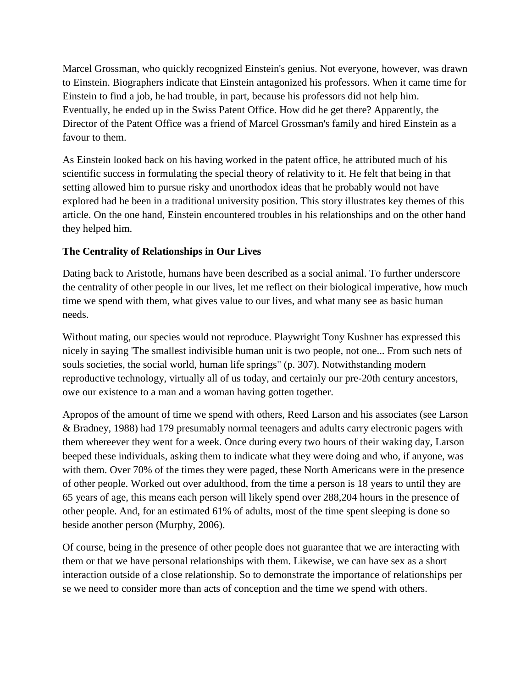Marcel Grossman, who quickly recognized Einstein's genius. Not everyone, however, was drawn to Einstein. Biographers indicate that Einstein antagonized his professors. When it came time for Einstein to find a job, he had trouble, in part, because his professors did not help him. Eventually, he ended up in the Swiss Patent Office. How did he get there? Apparently, the Director of the Patent Office was a friend of Marcel Grossman's family and hired Einstein as a favour to them.

As Einstein looked back on his having worked in the patent office, he attributed much of his scientific success in formulating the special theory of relativity to it. He felt that being in that setting allowed him to pursue risky and unorthodox ideas that he probably would not have explored had he been in a traditional university position. This story illustrates key themes of this article. On the one hand, Einstein encountered troubles in his relationships and on the other hand they helped him.

### **The Centrality of Relationships in Our Lives**

Dating back to Aristotle, humans have been described as a social animal. To further underscore the centrality of other people in our lives, let me reflect on their biological imperative, how much time we spend with them, what gives value to our lives, and what many see as basic human needs.

Without mating, our species would not reproduce. Playwright Tony Kushner has expressed this nicely in saying 'The smallest indivisible human unit is two people, not one... From such nets of souls societies, the social world, human life springs" (p. 307). Notwithstanding modern reproductive technology, virtually all of us today, and certainly our pre-20th century ancestors, owe our existence to a man and a woman having gotten together.

Apropos of the amount of time we spend with others, Reed Larson and his associates (see Larson & Bradney, 1988) had 179 presumably normal teenagers and adults carry electronic pagers with them whereever they went for a week. Once during every two hours of their waking day, Larson beeped these individuals, asking them to indicate what they were doing and who, if anyone, was with them. Over 70% of the times they were paged, these North Americans were in the presence of other people. Worked out over adulthood, from the time a person is 18 years to until they are 65 years of age, this means each person will likely spend over 288,204 hours in the presence of other people. And, for an estimated 61% of adults, most of the time spent sleeping is done so beside another person (Murphy, 2006).

Of course, being in the presence of other people does not guarantee that we are interacting with them or that we have personal relationships with them. Likewise, we can have sex as a short interaction outside of a close relationship. So to demonstrate the importance of relationships per se we need to consider more than acts of conception and the time we spend with others.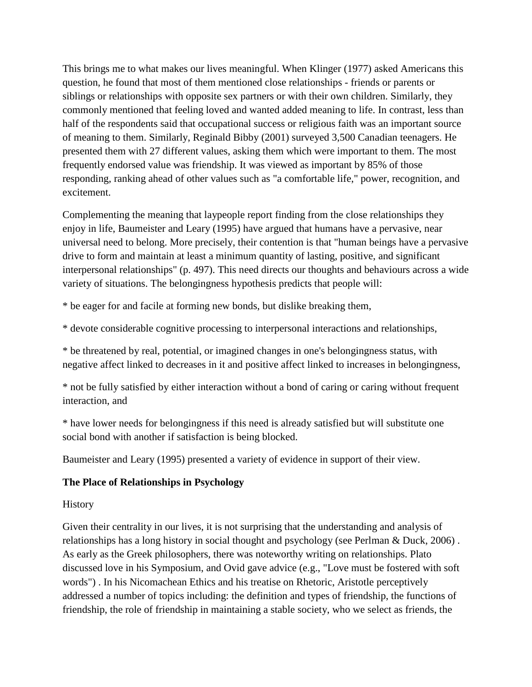This brings me to what makes our lives meaningful. When Klinger (1977) asked Americans this question, he found that most of them mentioned close relationships - friends or parents or siblings or relationships with opposite sex partners or with their own children. Similarly, they commonly mentioned that feeling loved and wanted added meaning to life. In contrast, less than half of the respondents said that occupational success or religious faith was an important source of meaning to them. Similarly, Reginald Bibby (2001) surveyed 3,500 Canadian teenagers. He presented them with 27 different values, asking them which were important to them. The most frequently endorsed value was friendship. It was viewed as important by 85% of those responding, ranking ahead of other values such as "a comfortable life," power, recognition, and excitement.

Complementing the meaning that laypeople report finding from the close relationships they enjoy in life, Baumeister and Leary (1995) have argued that humans have a pervasive, near universal need to belong. More precisely, their contention is that "human beings have a pervasive drive to form and maintain at least a minimum quantity of lasting, positive, and significant interpersonal relationships" (p. 497). This need directs our thoughts and behaviours across a wide variety of situations. The belongingness hypothesis predicts that people will:

\* be eager for and facile at forming new bonds, but dislike breaking them,

\* devote considerable cognitive processing to interpersonal interactions and relationships,

\* be threatened by real, potential, or imagined changes in one's belongingness status, with negative affect linked to decreases in it and positive affect linked to increases in belongingness,

\* not be fully satisfied by either interaction without a bond of caring or caring without frequent interaction, and

\* have lower needs for belongingness if this need is already satisfied but will substitute one social bond with another if satisfaction is being blocked.

Baumeister and Leary (1995) presented a variety of evidence in support of their view.

# **The Place of Relationships in Psychology**

### History

Given their centrality in our lives, it is not surprising that the understanding and analysis of relationships has a long history in social thought and psychology (see Perlman & Duck, 2006) . As early as the Greek philosophers, there was noteworthy writing on relationships. Plato discussed love in his Symposium, and Ovid gave advice (e.g., "Love must be fostered with soft words") . In his Nicomachean Ethics and his treatise on Rhetoric, Aristotle perceptively addressed a number of topics including: the definition and types of friendship, the functions of friendship, the role of friendship in maintaining a stable society, who we select as friends, the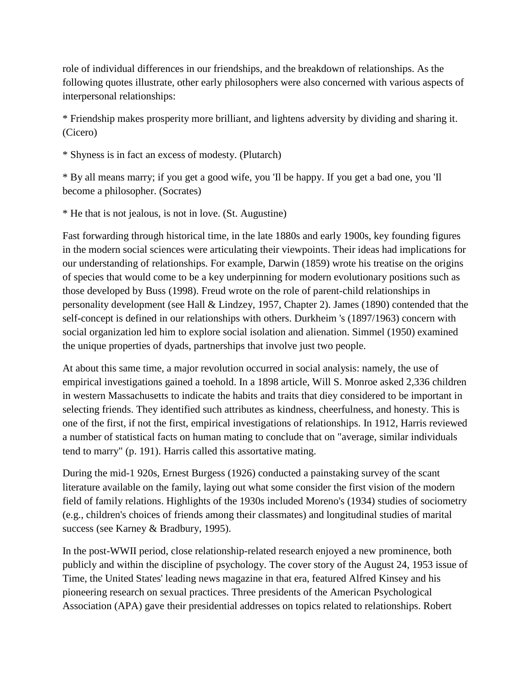role of individual differences in our friendships, and the breakdown of relationships. As the following quotes illustrate, other early philosophers were also concerned with various aspects of interpersonal relationships:

\* Friendship makes prosperity more brilliant, and lightens adversity by dividing and sharing it. (Cicero)

\* Shyness is in fact an excess of modesty. (Plutarch)

\* By all means marry; if you get a good wife, you 'Il be happy. If you get a bad one, you 'Il become a philosopher. (Socrates)

\* He that is not jealous, is not in love. (St. Augustine)

Fast forwarding through historical time, in the late 1880s and early 1900s, key founding figures in the modern social sciences were articulating their viewpoints. Their ideas had implications for our understanding of relationships. For example, Darwin (1859) wrote his treatise on the origins of species that would come to be a key underpinning for modern evolutionary positions such as those developed by Buss (1998). Freud wrote on the role of parent-child relationships in personality development (see Hall & Lindzey, 1957, Chapter 2). James (1890) contended that the self-concept is defined in our relationships with others. Durkheim 's (1897/1963) concern with social organization led him to explore social isolation and alienation. Simmel (1950) examined the unique properties of dyads, partnerships that involve just two people.

At about this same time, a major revolution occurred in social analysis: namely, the use of empirical investigations gained a toehold. In a 1898 article, Will S. Monroe asked 2,336 children in western Massachusetts to indicate the habits and traits that diey considered to be important in selecting friends. They identified such attributes as kindness, cheerfulness, and honesty. This is one of the first, if not the first, empirical investigations of relationships. In 1912, Harris reviewed a number of statistical facts on human mating to conclude that on "average, similar individuals tend to marry" (p. 191). Harris called this assortative mating.

During the mid-1 920s, Ernest Burgess (1926) conducted a painstaking survey of the scant literature available on the family, laying out what some consider the first vision of the modern field of family relations. Highlights of the 1930s included Moreno's (1934) studies of sociometry (e.g., children's choices of friends among their classmates) and longitudinal studies of marital success (see Karney & Bradbury, 1995).

In the post-WWII period, close relationship-related research enjoyed a new prominence, both publicly and within the discipline of psychology. The cover story of the August 24, 1953 issue of Time, the United States' leading news magazine in that era, featured Alfred Kinsey and his pioneering research on sexual practices. Three presidents of the American Psychological Association (APA) gave their presidential addresses on topics related to relationships. Robert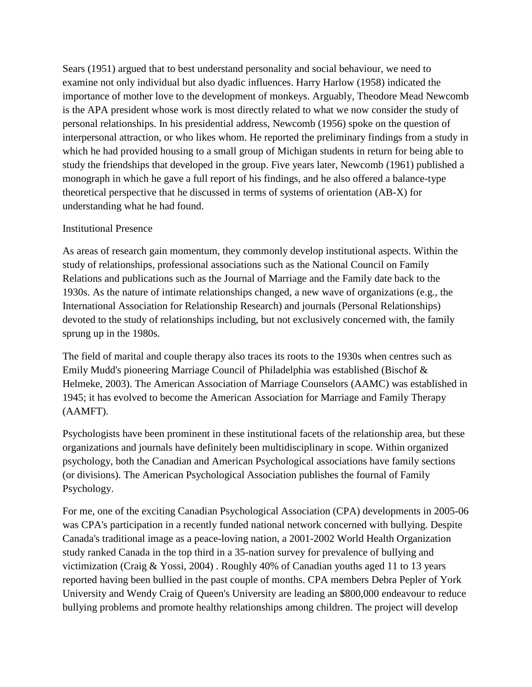Sears (1951) argued that to best understand personality and social behaviour, we need to examine not only individual but also dyadic influences. Harry Harlow (1958) indicated the importance of mother love to the development of monkeys. Arguably, Theodore Mead Newcomb is the APA president whose work is most directly related to what we now consider the study of personal relationships. In his presidential address, Newcomb (1956) spoke on the question of interpersonal attraction, or who likes whom. He reported the preliminary findings from a study in which he had provided housing to a small group of Michigan students in return for being able to study the friendships that developed in the group. Five years later, Newcomb (1961) published a monograph in which he gave a full report of his findings, and he also offered a balance-type theoretical perspective that he discussed in terms of systems of orientation (AB-X) for understanding what he had found.

#### Institutional Presence

As areas of research gain momentum, they commonly develop institutional aspects. Within the study of relationships, professional associations such as the National Council on Family Relations and publications such as the Journal of Marriage and the Family date back to the 1930s. As the nature of intimate relationships changed, a new wave of organizations (e.g., the International Association for Relationship Research) and journals (Personal Relationships) devoted to the study of relationships including, but not exclusively concerned with, the family sprung up in the 1980s.

The field of marital and couple therapy also traces its roots to the 1930s when centres such as Emily Mudd's pioneering Marriage Council of Philadelphia was established (Bischof & Helmeke, 2003). The American Association of Marriage Counselors (AAMC) was established in 1945; it has evolved to become the American Association for Marriage and Family Therapy (AAMFT).

Psychologists have been prominent in these institutional facets of the relationship area, but these organizations and journals have definitely been multidisciplinary in scope. Within organized psychology, both the Canadian and American Psychological associations have family sections (or divisions). The American Psychological Association publishes the fournal of Family Psychology.

For me, one of the exciting Canadian Psychological Association (CPA) developments in 2005-06 was CPA's participation in a recently funded national network concerned with bullying. Despite Canada's traditional image as a peace-loving nation, a 2001-2002 World Health Organization study ranked Canada in the top third in a 35-nation survey for prevalence of bullying and victimization (Craig & Yossi, 2004) . Roughly 40% of Canadian youths aged 11 to 13 years reported having been bullied in the past couple of months. CPA members Debra Pepler of York University and Wendy Craig of Queen's University are leading an \$800,000 endeavour to reduce bullying problems and promote healthy relationships among children. The project will develop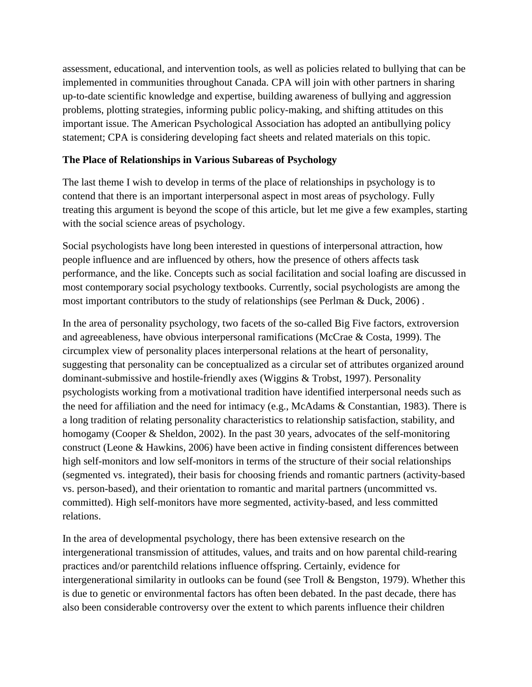assessment, educational, and intervention tools, as well as policies related to bullying that can be implemented in communities throughout Canada. CPA will join with other partners in sharing up-to-date scientific knowledge and expertise, building awareness of bullying and aggression problems, plotting strategies, informing public policy-making, and shifting attitudes on this important issue. The American Psychological Association has adopted an antibullying policy statement; CPA is considering developing fact sheets and related materials on this topic.

## **The Place of Relationships in Various Subareas of Psychology**

The last theme I wish to develop in terms of the place of relationships in psychology is to contend that there is an important interpersonal aspect in most areas of psychology. Fully treating this argument is beyond the scope of this article, but let me give a few examples, starting with the social science areas of psychology.

Social psychologists have long been interested in questions of interpersonal attraction, how people influence and are influenced by others, how the presence of others affects task performance, and the like. Concepts such as social facilitation and social loafing are discussed in most contemporary social psychology textbooks. Currently, social psychologists are among the most important contributors to the study of relationships (see Perlman & Duck, 2006) .

In the area of personality psychology, two facets of the so-called Big Five factors, extroversion and agreeableness, have obvious interpersonal ramifications (McCrae & Costa, 1999). The circumplex view of personality places interpersonal relations at the heart of personality, suggesting that personality can be conceptualized as a circular set of attributes organized around dominant-submissive and hostile-friendly axes (Wiggins & Trobst, 1997). Personality psychologists working from a motivational tradition have identified interpersonal needs such as the need for affiliation and the need for intimacy (e.g., McAdams & Constantian, 1983). There is a long tradition of relating personality characteristics to relationship satisfaction, stability, and homogamy (Cooper & Sheldon, 2002). In the past 30 years, advocates of the self-monitoring construct (Leone & Hawkins, 2006) have been active in finding consistent differences between high self-monitors and low self-monitors in terms of the structure of their social relationships (segmented vs. integrated), their basis for choosing friends and romantic partners (activity-based vs. person-based), and their orientation to romantic and marital partners (uncommitted vs. committed). High self-monitors have more segmented, activity-based, and less committed relations.

In the area of developmental psychology, there has been extensive research on the intergenerational transmission of attitudes, values, and traits and on how parental child-rearing practices and/or parentchild relations influence offspring. Certainly, evidence for intergenerational similarity in outlooks can be found (see Troll & Bengston, 1979). Whether this is due to genetic or environmental factors has often been debated. In the past decade, there has also been considerable controversy over the extent to which parents influence their children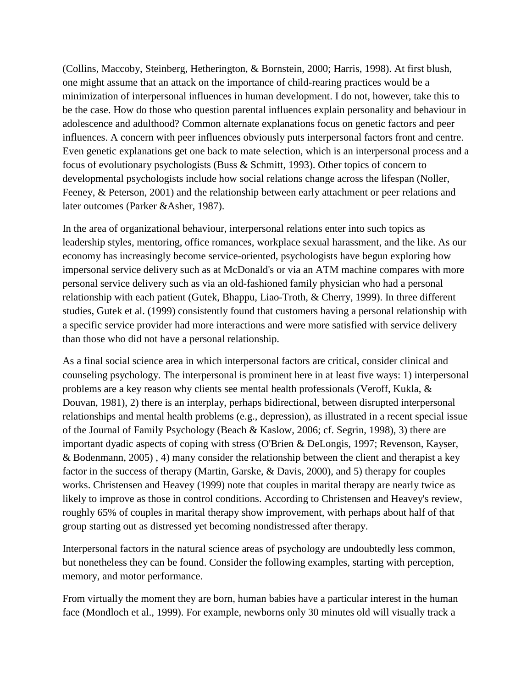(Collins, Maccoby, Steinberg, Hetherington, & Bornstein, 2000; Harris, 1998). At first blush, one might assume that an attack on the importance of child-rearing practices would be a minimization of interpersonal influences in human development. I do not, however, take this to be the case. How do those who question parental influences explain personality and behaviour in adolescence and adulthood? Common alternate explanations focus on genetic factors and peer influences. A concern with peer influences obviously puts interpersonal factors front and centre. Even genetic explanations get one back to mate selection, which is an interpersonal process and a focus of evolutionary psychologists (Buss & Schmitt, 1993). Other topics of concern to developmental psychologists include how social relations change across the lifespan (Noller, Feeney, & Peterson, 2001) and the relationship between early attachment or peer relations and later outcomes (Parker &Asher, 1987).

In the area of organizational behaviour, interpersonal relations enter into such topics as leadership styles, mentoring, office romances, workplace sexual harassment, and the like. As our economy has increasingly become service-oriented, psychologists have begun exploring how impersonal service delivery such as at McDonald's or via an ATM machine compares with more personal service delivery such as via an old-fashioned family physician who had a personal relationship with each patient (Gutek, Bhappu, Liao-Troth, & Cherry, 1999). In three different studies, Gutek et al. (1999) consistently found that customers having a personal relationship with a specific service provider had more interactions and were more satisfied with service delivery than those who did not have a personal relationship.

As a final social science area in which interpersonal factors are critical, consider clinical and counseling psychology. The interpersonal is prominent here in at least five ways: 1) interpersonal problems are a key reason why clients see mental health professionals (Veroff, Kukla, & Douvan, 1981), 2) there is an interplay, perhaps bidirectional, between disrupted interpersonal relationships and mental health problems (e.g., depression), as illustrated in a recent special issue of the Journal of Family Psychology (Beach & Kaslow, 2006; cf. Segrin, 1998), 3) there are important dyadic aspects of coping with stress (O'Brien & DeLongis, 1997; Revenson, Kayser, & Bodenmann, 2005) , 4) many consider the relationship between the client and therapist a key factor in the success of therapy (Martin, Garske, & Davis, 2000), and 5) therapy for couples works. Christensen and Heavey (1999) note that couples in marital therapy are nearly twice as likely to improve as those in control conditions. According to Christensen and Heavey's review, roughly 65% of couples in marital therapy show improvement, with perhaps about half of that group starting out as distressed yet becoming nondistressed after therapy.

Interpersonal factors in the natural science areas of psychology are undoubtedly less common, but nonetheless they can be found. Consider the following examples, starting with perception, memory, and motor performance.

From virtually the moment they are born, human babies have a particular interest in the human face (Mondloch et al., 1999). For example, newborns only 30 minutes old will visually track a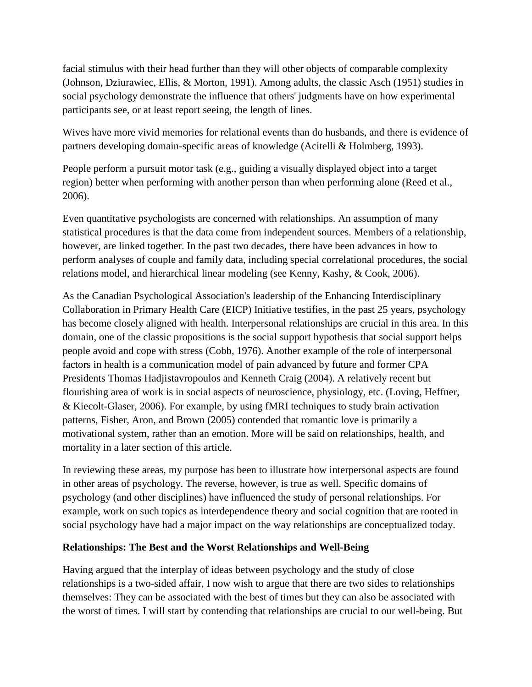facial stimulus with their head further than they will other objects of comparable complexity (Johnson, Dziurawiec, Ellis, & Morton, 1991). Among adults, the classic Asch (1951) studies in social psychology demonstrate the influence that others' judgments have on how experimental participants see, or at least report seeing, the length of lines.

Wives have more vivid memories for relational events than do husbands, and there is evidence of partners developing domain-specific areas of knowledge (Acitelli & Holmberg, 1993).

People perform a pursuit motor task (e.g., guiding a visually displayed object into a target region) better when performing with another person than when performing alone (Reed et al., 2006).

Even quantitative psychologists are concerned with relationships. An assumption of many statistical procedures is that the data come from independent sources. Members of a relationship, however, are linked together. In the past two decades, there have been advances in how to perform analyses of couple and family data, including special correlational procedures, the social relations model, and hierarchical linear modeling (see Kenny, Kashy, & Cook, 2006).

As the Canadian Psychological Association's leadership of the Enhancing Interdisciplinary Collaboration in Primary Health Care (EICP) Initiative testifies, in the past 25 years, psychology has become closely aligned with health. Interpersonal relationships are crucial in this area. In this domain, one of the classic propositions is the social support hypothesis that social support helps people avoid and cope with stress (Cobb, 1976). Another example of the role of interpersonal factors in health is a communication model of pain advanced by future and former CPA Presidents Thomas Hadjistavropoulos and Kenneth Craig (2004). A relatively recent but flourishing area of work is in social aspects of neuroscience, physiology, etc. (Loving, Heffner, & Kiecolt-Glaser, 2006). For example, by using fMRI techniques to study brain activation patterns, Fisher, Aron, and Brown (2005) contended that romantic love is primarily a motivational system, rather than an emotion. More will be said on relationships, health, and mortality in a later section of this article.

In reviewing these areas, my purpose has been to illustrate how interpersonal aspects are found in other areas of psychology. The reverse, however, is true as well. Specific domains of psychology (and other disciplines) have influenced the study of personal relationships. For example, work on such topics as interdependence theory and social cognition that are rooted in social psychology have had a major impact on the way relationships are conceptualized today.

### **Relationships: The Best and the Worst Relationships and Well-Being**

Having argued that the interplay of ideas between psychology and the study of close relationships is a two-sided affair, I now wish to argue that there are two sides to relationships themselves: They can be associated with the best of times but they can also be associated with the worst of times. I will start by contending that relationships are crucial to our well-being. But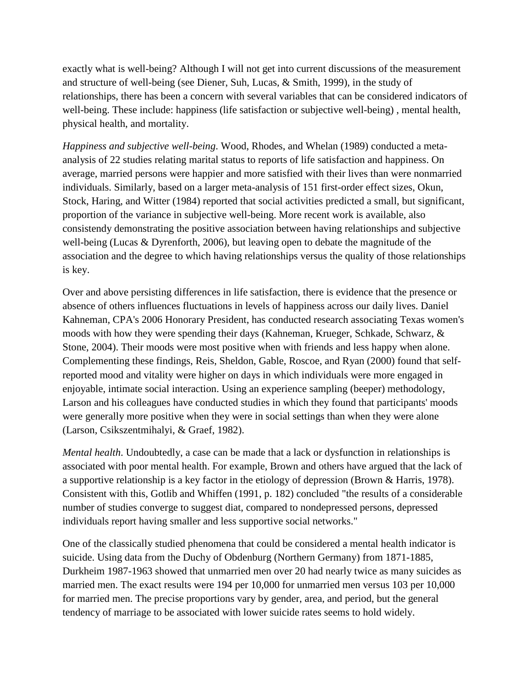exactly what is well-being? Although I will not get into current discussions of the measurement and structure of well-being (see Diener, Suh, Lucas, & Smith, 1999), in the study of relationships, there has been a concern with several variables that can be considered indicators of well-being. These include: happiness (life satisfaction or subjective well-being) , mental health, physical health, and mortality.

*Happiness and subjective well-being*. Wood, Rhodes, and Whelan (1989) conducted a metaanalysis of 22 studies relating marital status to reports of life satisfaction and happiness. On average, married persons were happier and more satisfied with their lives than were nonmarried individuals. Similarly, based on a larger meta-analysis of 151 first-order effect sizes, Okun, Stock, Haring, and Witter (1984) reported that social activities predicted a small, but significant, proportion of the variance in subjective well-being. More recent work is available, also consistendy demonstrating the positive association between having relationships and subjective well-being (Lucas & Dyrenforth, 2006), but leaving open to debate the magnitude of the association and the degree to which having relationships versus the quality of those relationships is key.

Over and above persisting differences in life satisfaction, there is evidence that the presence or absence of others influences fluctuations in levels of happiness across our daily lives. Daniel Kahneman, CPA's 2006 Honorary President, has conducted research associating Texas women's moods with how they were spending their days (Kahneman, Krueger, Schkade, Schwarz, & Stone, 2004). Their moods were most positive when with friends and less happy when alone. Complementing these findings, Reis, Sheldon, Gable, Roscoe, and Ryan (2000) found that selfreported mood and vitality were higher on days in which individuals were more engaged in enjoyable, intimate social interaction. Using an experience sampling (beeper) methodology, Larson and his colleagues have conducted studies in which they found that participants' moods were generally more positive when they were in social settings than when they were alone (Larson, Csikszentmihalyi, & Graef, 1982).

*Mental health*. Undoubtedly, a case can be made that a lack or dysfunction in relationships is associated with poor mental health. For example, Brown and others have argued that the lack of a supportive relationship is a key factor in the etiology of depression (Brown & Harris, 1978). Consistent with this, Gotlib and Whiffen (1991, p. 182) concluded "the results of a considerable number of studies converge to suggest diat, compared to nondepressed persons, depressed individuals report having smaller and less supportive social networks."

One of the classically studied phenomena that could be considered a mental health indicator is suicide. Using data from the Duchy of Obdenburg (Northern Germany) from 1871-1885, Durkheim 1987-1963 showed that unmarried men over 20 had nearly twice as many suicides as married men. The exact results were 194 per 10,000 for unmarried men versus 103 per 10,000 for married men. The precise proportions vary by gender, area, and period, but the general tendency of marriage to be associated with lower suicide rates seems to hold widely.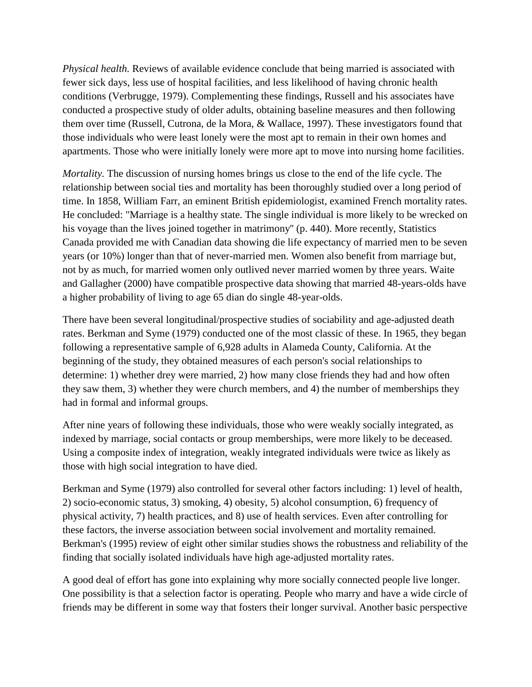*Physical health.* Reviews of available evidence conclude that being married is associated with fewer sick days, less use of hospital facilities, and less likelihood of having chronic health conditions (Verbrugge, 1979). Complementing these findings, Russell and his associates have conducted a prospective study of older adults, obtaining baseline measures and then following them over time (Russell, Cutrona, de la Mora, & Wallace, 1997). These investigators found that those individuals who were least lonely were the most apt to remain in their own homes and apartments. Those who were initially lonely were more apt to move into nursing home facilities.

*Mortality.* The discussion of nursing homes brings us close to the end of the life cycle. The relationship between social ties and mortality has been thoroughly studied over a long period of time. In 1858, William Farr, an eminent British epidemiologist, examined French mortality rates. He concluded: "Marriage is a healthy state. The single individual is more likely to be wrecked on his voyage than the lives joined together in matrimony'' (p. 440). More recently, Statistics Canada provided me with Canadian data showing die life expectancy of married men to be seven years (or 10%) longer than that of never-married men. Women also benefit from marriage but, not by as much, for married women only outlived never married women by three years. Waite and Gallagher (2000) have compatible prospective data showing that married 48-years-olds have a higher probability of living to age 65 dian do single 48-year-olds.

There have been several longitudinal/prospective studies of sociability and age-adjusted death rates. Berkman and Syme (1979) conducted one of the most classic of these. In 1965, they began following a representative sample of 6,928 adults in Alameda County, California. At the beginning of the study, they obtained measures of each person's social relationships to determine: 1) whether drey were married, 2) how many close friends they had and how often they saw them, 3) whether they were church members, and 4) the number of memberships they had in formal and informal groups.

After nine years of following these individuals, those who were weakly socially integrated, as indexed by marriage, social contacts or group memberships, were more likely to be deceased. Using a composite index of integration, weakly integrated individuals were twice as likely as those with high social integration to have died.

Berkman and Syme (1979) also controlled for several other factors including: 1) level of health, 2) socio-economic status, 3) smoking, 4) obesity, 5) alcohol consumption, 6) frequency of physical activity, 7) health practices, and 8) use of health services. Even after controlling for these factors, the inverse association between social involvement and mortality remained. Berkman's (1995) review of eight other similar studies shows the robustness and reliability of the finding that socially isolated individuals have high age-adjusted mortality rates.

A good deal of effort has gone into explaining why more socially connected people live longer. One possibility is that a selection factor is operating. People who marry and have a wide circle of friends may be different in some way that fosters their longer survival. Another basic perspective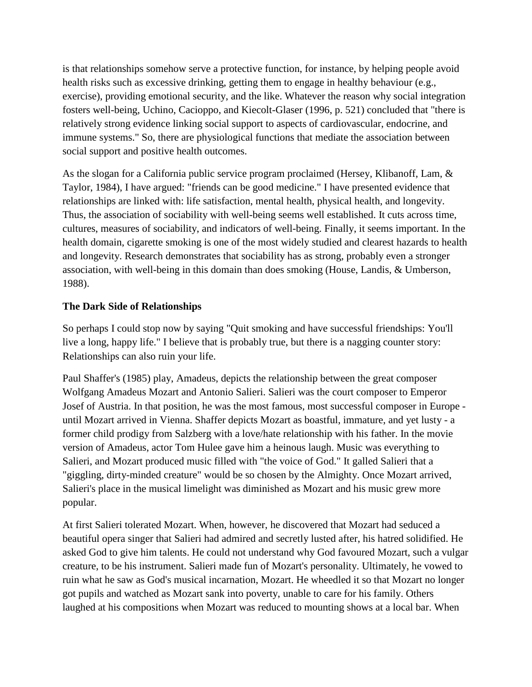is that relationships somehow serve a protective function, for instance, by helping people avoid health risks such as excessive drinking, getting them to engage in healthy behaviour (e.g., exercise), providing emotional security, and the like. Whatever the reason why social integration fosters well-being, Uchino, Cacioppo, and Kiecolt-Glaser (1996, p. 521) concluded that "there is relatively strong evidence linking social support to aspects of cardiovascular, endocrine, and immune systems." So, there are physiological functions that mediate the association between social support and positive health outcomes.

As the slogan for a California public service program proclaimed (Hersey, Klibanoff, Lam, & Taylor, 1984), I have argued: "friends can be good medicine." I have presented evidence that relationships are linked with: life satisfaction, mental health, physical health, and longevity. Thus, the association of sociability with well-being seems well established. It cuts across time, cultures, measures of sociability, and indicators of well-being. Finally, it seems important. In the health domain, cigarette smoking is one of the most widely studied and clearest hazards to health and longevity. Research demonstrates that sociability has as strong, probably even a stronger association, with well-being in this domain than does smoking (House, Landis, & Umberson, 1988).

#### **The Dark Side of Relationships**

So perhaps I could stop now by saying "Quit smoking and have successful friendships: You'll live a long, happy life." I believe that is probably true, but there is a nagging counter story: Relationships can also ruin your life.

Paul Shaffer's (1985) play, Amadeus, depicts the relationship between the great composer Wolfgang Amadeus Mozart and Antonio Salieri. Salieri was the court composer to Emperor Josef of Austria. In that position, he was the most famous, most successful composer in Europe until Mozart arrived in Vienna. Shaffer depicts Mozart as boastful, immature, and yet lusty - a former child prodigy from Salzberg with a love/hate relationship with his father. In the movie version of Amadeus, actor Tom Hulee gave him a heinous laugh. Music was everything to Salieri, and Mozart produced music filled with "the voice of God." It galled Salieri that a "giggling, dirty-minded creature" would be so chosen by the Almighty. Once Mozart arrived, Salieri's place in the musical limelight was diminished as Mozart and his music grew more popular.

At first Salieri tolerated Mozart. When, however, he discovered that Mozart had seduced a beautiful opera singer that Salieri had admired and secretly lusted after, his hatred solidified. He asked God to give him talents. He could not understand why God favoured Mozart, such a vulgar creature, to be his instrument. Salieri made fun of Mozart's personality. Ultimately, he vowed to ruin what he saw as God's musical incarnation, Mozart. He wheedled it so that Mozart no longer got pupils and watched as Mozart sank into poverty, unable to care for his family. Others laughed at his compositions when Mozart was reduced to mounting shows at a local bar. When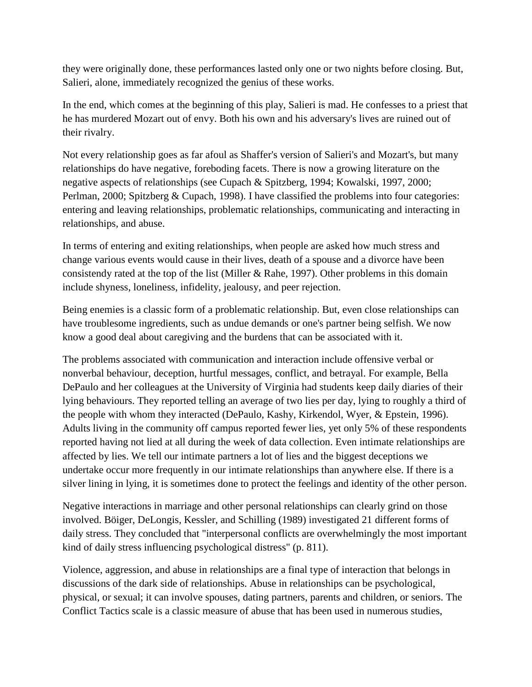they were originally done, these performances lasted only one or two nights before closing. But, Salieri, alone, immediately recognized the genius of these works.

In the end, which comes at the beginning of this play, Salieri is mad. He confesses to a priest that he has murdered Mozart out of envy. Both his own and his adversary's lives are ruined out of their rivalry.

Not every relationship goes as far afoul as Shaffer's version of Salieri's and Mozart's, but many relationships do have negative, foreboding facets. There is now a growing literature on the negative aspects of relationships (see Cupach & Spitzberg, 1994; Kowalski, 1997, 2000; Perlman, 2000; Spitzberg & Cupach, 1998). I have classified the problems into four categories: entering and leaving relationships, problematic relationships, communicating and interacting in relationships, and abuse.

In terms of entering and exiting relationships, when people are asked how much stress and change various events would cause in their lives, death of a spouse and a divorce have been consistendy rated at the top of the list (Miller & Rahe, 1997). Other problems in this domain include shyness, loneliness, infidelity, jealousy, and peer rejection.

Being enemies is a classic form of a problematic relationship. But, even close relationships can have troublesome ingredients, such as undue demands or one's partner being selfish. We now know a good deal about caregiving and the burdens that can be associated with it.

The problems associated with communication and interaction include offensive verbal or nonverbal behaviour, deception, hurtful messages, conflict, and betrayal. For example, Bella DePaulo and her colleagues at the University of Virginia had students keep daily diaries of their lying behaviours. They reported telling an average of two lies per day, lying to roughly a third of the people with whom they interacted (DePaulo, Kashy, Kirkendol, Wyer, & Epstein, 1996). Adults living in the community off campus reported fewer lies, yet only 5% of these respondents reported having not lied at all during the week of data collection. Even intimate relationships are affected by lies. We tell our intimate partners a lot of lies and the biggest deceptions we undertake occur more frequently in our intimate relationships than anywhere else. If there is a silver lining in lying, it is sometimes done to protect the feelings and identity of the other person.

Negative interactions in marriage and other personal relationships can clearly grind on those involved. Böiger, DeLongis, Kessler, and Schilling (1989) investigated 21 different forms of daily stress. They concluded that "interpersonal conflicts are overwhelmingly the most important kind of daily stress influencing psychological distress" (p. 811).

Violence, aggression, and abuse in relationships are a final type of interaction that belongs in discussions of the dark side of relationships. Abuse in relationships can be psychological, physical, or sexual; it can involve spouses, dating partners, parents and children, or seniors. The Conflict Tactics scale is a classic measure of abuse that has been used in numerous studies,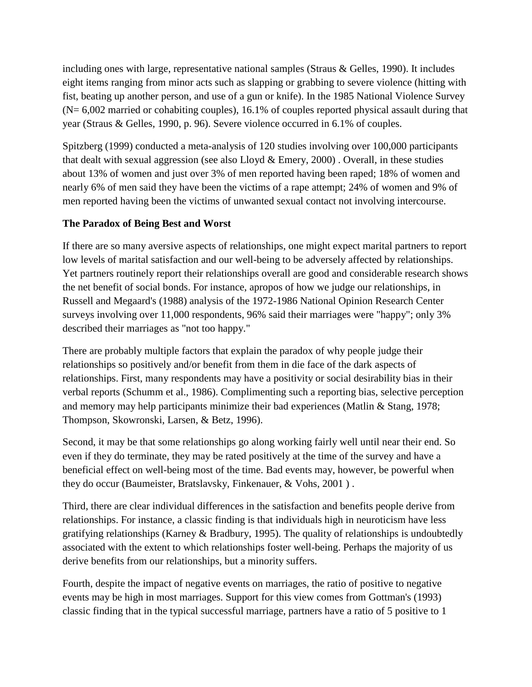including ones with large, representative national samples (Straus & Gelles, 1990). It includes eight items ranging from minor acts such as slapping or grabbing to severe violence (hitting with fist, beating up another person, and use of a gun or knife). In the 1985 National Violence Survey  $(N= 6,002$  married or cohabiting couples), 16.1% of couples reported physical assault during that year (Straus & Gelles, 1990, p. 96). Severe violence occurred in 6.1% of couples.

Spitzberg (1999) conducted a meta-analysis of 120 studies involving over 100,000 participants that dealt with sexual aggression (see also Lloyd & Emery, 2000) . Overall, in these studies about 13% of women and just over 3% of men reported having been raped; 18% of women and nearly 6% of men said they have been the victims of a rape attempt; 24% of women and 9% of men reported having been the victims of unwanted sexual contact not involving intercourse.

## **The Paradox of Being Best and Worst**

If there are so many aversive aspects of relationships, one might expect marital partners to report low levels of marital satisfaction and our well-being to be adversely affected by relationships. Yet partners routinely report their relationships overall are good and considerable research shows the net benefit of social bonds. For instance, apropos of how we judge our relationships, in Russell and Megaard's (1988) analysis of the 1972-1986 National Opinion Research Center surveys involving over 11,000 respondents, 96% said their marriages were "happy"; only 3% described their marriages as "not too happy."

There are probably multiple factors that explain the paradox of why people judge their relationships so positively and/or benefit from them in die face of the dark aspects of relationships. First, many respondents may have a positivity or social desirability bias in their verbal reports (Schumm et al., 1986). Complimenting such a reporting bias, selective perception and memory may help participants minimize their bad experiences (Matlin & Stang, 1978; Thompson, Skowronski, Larsen, & Betz, 1996).

Second, it may be that some relationships go along working fairly well until near their end. So even if they do terminate, they may be rated positively at the time of the survey and have a beneficial effect on well-being most of the time. Bad events may, however, be powerful when they do occur (Baumeister, Bratslavsky, Finkenauer, & Vohs, 2001 ) .

Third, there are clear individual differences in the satisfaction and benefits people derive from relationships. For instance, a classic finding is that individuals high in neuroticism have less gratifying relationships (Karney & Bradbury, 1995). The quality of relationships is undoubtedly associated with the extent to which relationships foster well-being. Perhaps the majority of us derive benefits from our relationships, but a minority suffers.

Fourth, despite the impact of negative events on marriages, the ratio of positive to negative events may be high in most marriages. Support for this view comes from Gottman's (1993) classic finding that in the typical successful marriage, partners have a ratio of 5 positive to 1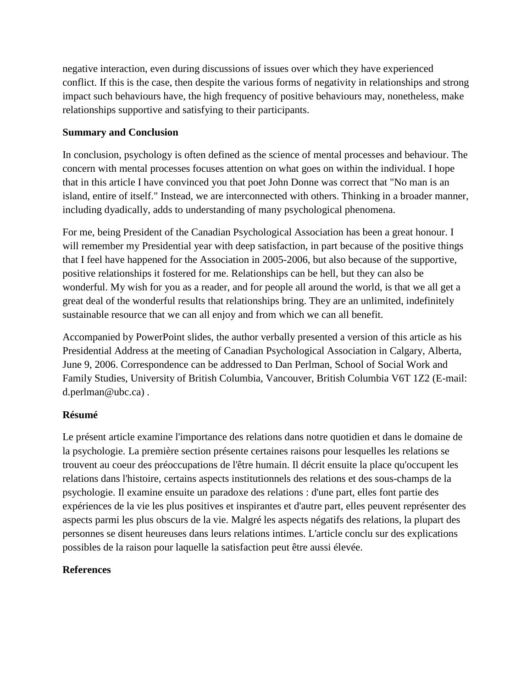negative interaction, even during discussions of issues over which they have experienced conflict. If this is the case, then despite the various forms of negativity in relationships and strong impact such behaviours have, the high frequency of positive behaviours may, nonetheless, make relationships supportive and satisfying to their participants.

### **Summary and Conclusion**

In conclusion, psychology is often defined as the science of mental processes and behaviour. The concern with mental processes focuses attention on what goes on within the individual. I hope that in this article I have convinced you that poet John Donne was correct that "No man is an island, entire of itself." Instead, we are interconnected with others. Thinking in a broader manner, including dyadically, adds to understanding of many psychological phenomena.

For me, being President of the Canadian Psychological Association has been a great honour. I will remember my Presidential year with deep satisfaction, in part because of the positive things that I feel have happened for the Association in 2005-2006, but also because of the supportive, positive relationships it fostered for me. Relationships can be hell, but they can also be wonderful. My wish for you as a reader, and for people all around the world, is that we all get a great deal of the wonderful results that relationships bring. They are an unlimited, indefinitely sustainable resource that we can all enjoy and from which we can all benefit.

Accompanied by PowerPoint slides, the author verbally presented a version of this article as his Presidential Address at the meeting of Canadian Psychological Association in Calgary, Alberta, June 9, 2006. Correspondence can be addressed to Dan Perlman, School of Social Work and Family Studies, University of British Columbia, Vancouver, British Columbia V6T 1Z2 (E-mail: d.perlman@ubc.ca) .

### **Résumé**

Le présent article examine l'importance des relations dans notre quotidien et dans le domaine de la psychologie. La première section présente certaines raisons pour lesquelles les relations se trouvent au coeur des préoccupations de l'être humain. Il décrit ensuite la place qu'occupent les relations dans l'histoire, certains aspects institutionnels des relations et des sous-champs de la psychologie. Il examine ensuite un paradoxe des relations : d'une part, elles font partie des expériences de la vie les plus positives et inspirantes et d'autre part, elles peuvent représenter des aspects parmi les plus obscurs de la vie. Malgré les aspects négatifs des relations, la plupart des personnes se disent heureuses dans leurs relations intimes. L'article conclu sur des explications possibles de la raison pour laquelle la satisfaction peut être aussi élevée.

### **References**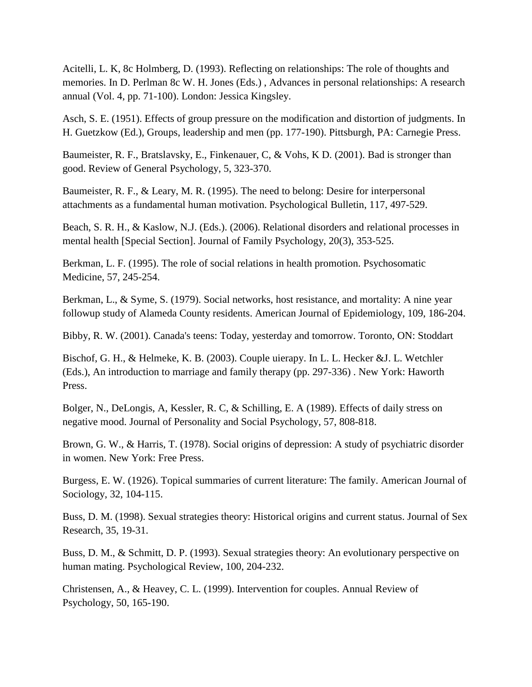Acitelli, L. K, 8c Holmberg, D. (1993). Reflecting on relationships: The role of thoughts and memories. In D. Perlman 8c W. H. Jones (Eds.) , Advances in personal relationships: A research annual (Vol. 4, pp. 71-100). London: Jessica Kingsley.

Asch, S. E. (1951). Effects of group pressure on the modification and distortion of judgments. In H. Guetzkow (Ed.), Groups, leadership and men (pp. 177-190). Pittsburgh, PA: Carnegie Press.

Baumeister, R. F., Bratslavsky, E., Finkenauer, C, & Vohs, K D. (2001). Bad is stronger than good. Review of General Psychology, 5, 323-370.

Baumeister, R. F., & Leary, M. R. (1995). The need to belong: Desire for interpersonal attachments as a fundamental human motivation. Psychological Bulletin, 117, 497-529.

Beach, S. R. H., & Kaslow, N.J. (Eds.). (2006). Relational disorders and relational processes in mental health [Special Section]. Journal of Family Psychology, 20(3), 353-525.

Berkman, L. F. (1995). The role of social relations in health promotion. Psychosomatic Medicine, 57, 245-254.

Berkman, L., & Syme, S. (1979). Social networks, host resistance, and mortality: A nine year followup study of Alameda County residents. American Journal of Epidemiology, 109, 186-204.

Bibby, R. W. (2001). Canada's teens: Today, yesterday and tomorrow. Toronto, ON: Stoddart

Bischof, G. H., & Helmeke, K. B. (2003). Couple uierapy. In L. L. Hecker &J. L. Wetchler (Eds.), An introduction to marriage and family therapy (pp. 297-336) . New York: Haworth Press.

Bolger, N., DeLongis, A, Kessler, R. C, & Schilling, E. A (1989). Effects of daily stress on negative mood. Journal of Personality and Social Psychology, 57, 808-818.

Brown, G. W., & Harris, T. (1978). Social origins of depression: A study of psychiatric disorder in women. New York: Free Press.

Burgess, E. W. (1926). Topical summaries of current literature: The family. American Journal of Sociology, 32, 104-115.

Buss, D. M. (1998). Sexual strategies theory: Historical origins and current status. Journal of Sex Research, 35, 19-31.

Buss, D. M., & Schmitt, D. P. (1993). Sexual strategies theory: An evolutionary perspective on human mating. Psychological Review, 100, 204-232.

Christensen, A., & Heavey, C. L. (1999). Intervention for couples. Annual Review of Psychology, 50, 165-190.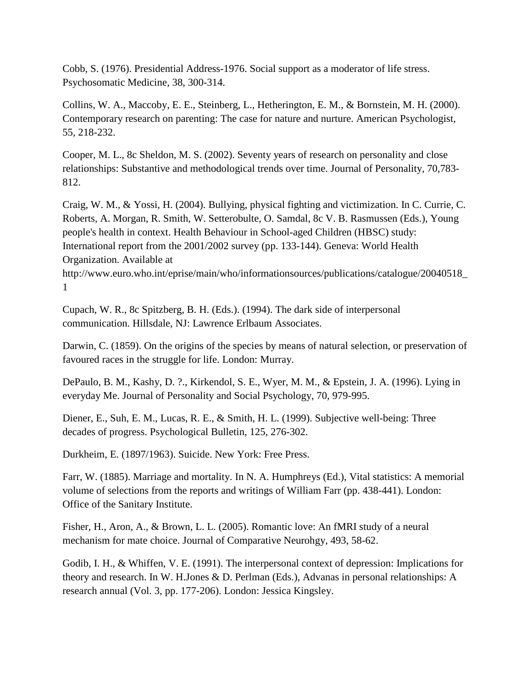Cobb, S. (1976). Presidential Address-1976. Social support as a moderator of life stress. Psychosomatic Medicine, 38, 300-314.

Collins, W. A., Maccoby, E. E., Steinberg, L., Hetherington, E. M., & Bornstein, M. H. (2000). Contemporary research on parenting: The case for nature and nurture. American Psychologist, 55, 218-232.

Cooper, M. L., 8c Sheldon, M. S. (2002). Seventy years of research on personality and close relationships: Substantive and methodological trends over time. Journal of Personality, 70,783- 812.

Craig, W. M., & Yossi, H. (2004). Bullying, physical fighting and victimization. In C. Currie, C. Roberts, A. Morgan, R. Smith, W. Setterobulte, O. Samdal, 8c V. B. Rasmussen (Eds.), Young people's health in context. Health Behaviour in School-aged Children (HBSC) study: International report from the 2001/2002 survey (pp. 133-144). Geneva: World Health Organization. Available at

http://www.euro.who.int/eprise/main/who/informationsources/publications/catalogue/20040518\_ 1

Cupach, W. R., 8c Spitzberg, B. H. (Eds.). (1994). The dark side of interpersonal communication. Hillsdale, NJ: Lawrence Erlbaum Associates.

Darwin, C. (1859). On the origins of the species by means of natural selection, or preservation of favoured races in the struggle for life. London: Murray.

DePaulo, B. M., Kashy, D. ?., Kirkendol, S. E., Wyer, M. M., & Epstein, J. A. (1996). Lying in everyday Me. Journal of Personality and Social Psychology, 70, 979-995.

Diener, E., Suh, E. M., Lucas, R. E., & Smith, H. L. (1999). Subjective well-being: Three decades of progress. Psychological Bulletin, 125, 276-302.

Durkheim, E. (1897/1963). Suicide. New York: Free Press.

Farr, W. (1885). Marriage and mortality. In N. A. Humphreys (Ed.), Vital statistics: A memorial volume of selections from the reports and writings of William Farr (pp. 438-441). London: Office of the Sanitary Institute.

Fisher, H., Aron, A., & Brown, L. L. (2005). Romantic love: An fMRI study of a neural mechanism for mate choice. Journal of Comparative Neurohgy, 493, 58-62.

Godib, I. H., & Whiffen, V. E. (1991). The interpersonal context of depression: Implications for theory and research. In W. H.Jones & D. Perlman (Eds.), Advanas in personal relationships: A research annual (Vol. 3, pp. 177-206). London: Jessica Kingsley.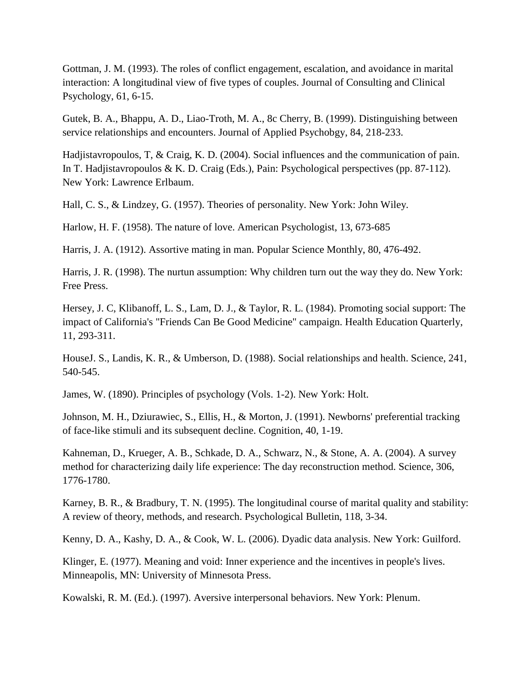Gottman, J. M. (1993). The roles of conflict engagement, escalation, and avoidance in marital interaction: A longitudinal view of five types of couples. Journal of Consulting and Clinical Psychology, 61, 6-15.

Gutek, B. A., Bhappu, A. D., Liao-Troth, M. A., 8c Cherry, B. (1999). Distinguishing between service relationships and encounters. Journal of Applied Psychobgy, 84, 218-233.

Hadjistavropoulos, T, & Craig, K. D. (2004). Social influences and the communication of pain. In T. Hadjistavropoulos & K. D. Craig (Eds.), Pain: Psychological perspectives (pp. 87-112). New York: Lawrence Erlbaum.

Hall, C. S., & Lindzey, G. (1957). Theories of personality. New York: John Wiley.

Harlow, H. F. (1958). The nature of love. American Psychologist, 13, 673-685

Harris, J. A. (1912). Assortive mating in man. Popular Science Monthly, 80, 476-492.

Harris, J. R. (1998). The nurtun assumption: Why children turn out the way they do. New York: Free Press.

Hersey, J. C, Klibanoff, L. S., Lam, D. J., & Taylor, R. L. (1984). Promoting social support: The impact of California's "Friends Can Be Good Medicine" campaign. Health Education Quarterly, 11, 293-311.

HouseJ. S., Landis, K. R., & Umberson, D. (1988). Social relationships and health. Science, 241, 540-545.

James, W. (1890). Principles of psychology (Vols. 1-2). New York: Holt.

Johnson, M. H., Dziurawiec, S., Ellis, H., & Morton, J. (1991). Newborns' preferential tracking of face-like stimuli and its subsequent decline. Cognition, 40, 1-19.

Kahneman, D., Krueger, A. B., Schkade, D. A., Schwarz, N., & Stone, A. A. (2004). A survey method for characterizing daily life experience: The day reconstruction method. Science, 306, 1776-1780.

Karney, B. R., & Bradbury, T. N. (1995). The longitudinal course of marital quality and stability: A review of theory, methods, and research. Psychological Bulletin, 118, 3-34.

Kenny, D. A., Kashy, D. A., & Cook, W. L. (2006). Dyadic data analysis. New York: Guilford.

Klinger, E. (1977). Meaning and void: Inner experience and the incentives in people's lives. Minneapolis, MN: University of Minnesota Press.

Kowalski, R. M. (Ed.). (1997). Aversive interpersonal behaviors. New York: Plenum.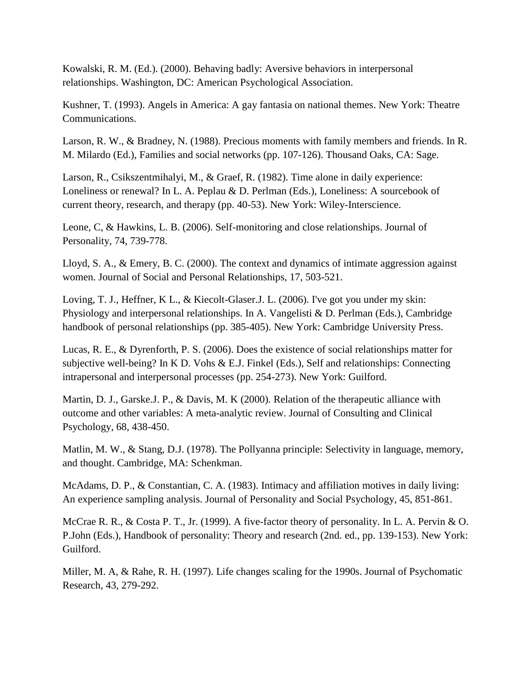Kowalski, R. M. (Ed.). (2000). Behaving badly: Aversive behaviors in interpersonal relationships. Washington, DC: American Psychological Association.

Kushner, T. (1993). Angels in America: A gay fantasia on national themes. New York: Theatre Communications.

Larson, R. W., & Bradney, N. (1988). Precious moments with family members and friends. In R. M. Milardo (Ed.), Families and social networks (pp. 107-126). Thousand Oaks, CA: Sage.

Larson, R., Csikszentmihalyi, M., & Graef, R. (1982). Time alone in daily experience: Loneliness or renewal? In L. A. Peplau & D. Perlman (Eds.), Loneliness: A sourcebook of current theory, research, and therapy (pp. 40-53). New York: Wiley-Interscience.

Leone, C, & Hawkins, L. B. (2006). Self-monitoring and close relationships. Journal of Personality, 74, 739-778.

Lloyd, S. A., & Emery, B. C. (2000). The context and dynamics of intimate aggression against women. Journal of Social and Personal Relationships, 17, 503-521.

Loving, T. J., Heffner, K L., & Kiecolt-Glaser.J. L. (2006). I've got you under my skin: Physiology and interpersonal relationships. In A. Vangelisti & D. Perlman (Eds.), Cambridge handbook of personal relationships (pp. 385-405). New York: Cambridge University Press.

Lucas, R. E., & Dyrenforth, P. S. (2006). Does the existence of social relationships matter for subjective well-being? In K D. Vohs & E.J. Finkel (Eds.), Self and relationships: Connecting intrapersonal and interpersonal processes (pp. 254-273). New York: Guilford.

Martin, D. J., Garske.J. P., & Davis, M. K (2000). Relation of the therapeutic alliance with outcome and other variables: A meta-analytic review. Journal of Consulting and Clinical Psychology, 68, 438-450.

Matlin, M. W., & Stang, D.J. (1978). The Pollyanna principle: Selectivity in language, memory, and thought. Cambridge, MA: Schenkman.

McAdams, D. P., & Constantian, C. A. (1983). Intimacy and affiliation motives in daily living: An experience sampling analysis. Journal of Personality and Social Psychology, 45, 851-861.

McCrae R. R., & Costa P. T., Jr. (1999). A five-factor theory of personality. In L. A. Pervin & O. P.John (Eds.), Handbook of personality: Theory and research (2nd. ed., pp. 139-153). New York: Guilford.

Miller, M. A, & Rahe, R. H. (1997). Life changes scaling for the 1990s. Journal of Psychomatic Research, 43, 279-292.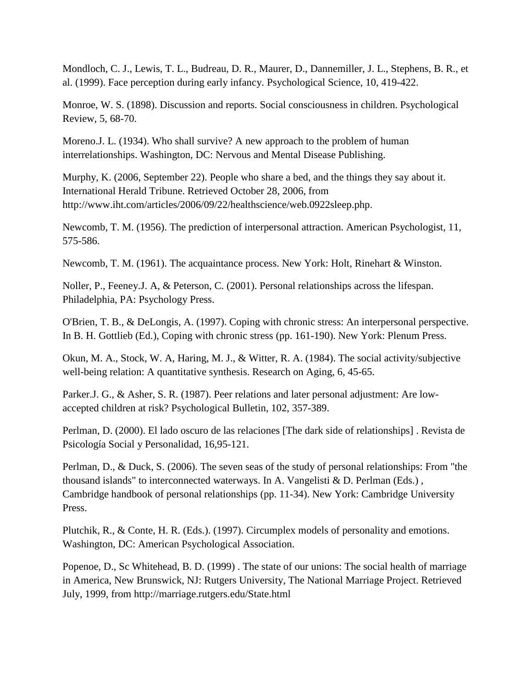Mondloch, C. J., Lewis, T. L., Budreau, D. R., Maurer, D., Dannemiller, J. L., Stephens, B. R., et al. (1999). Face perception during early infancy. Psychological Science, 10, 419-422.

Monroe, W. S. (1898). Discussion and reports. Social consciousness in children. Psychological Review, 5, 68-70.

Moreno.J. L. (1934). Who shall survive? A new approach to the problem of human interrelationships. Washington, DC: Nervous and Mental Disease Publishing.

Murphy, K. (2006, September 22). People who share a bed, and the things they say about it. International Herald Tribune. Retrieved October 28, 2006, from http://www.iht.com/articles/2006/09/22/healthscience/web.0922sleep.php.

Newcomb, T. M. (1956). The prediction of interpersonal attraction. American Psychologist, 11, 575-586.

Newcomb, T. M. (1961). The acquaintance process. New York: Holt, Rinehart & Winston.

Noller, P., Feeney.J. A, & Peterson, C. (2001). Personal relationships across the lifespan. Philadelphia, PA: Psychology Press.

O'Brien, T. B., & DeLongis, A. (1997). Coping with chronic stress: An interpersonal perspective. In B. H. Gottlieb (Ed.), Coping with chronic stress (pp. 161-190). New York: Plenum Press.

Okun, M. A., Stock, W. A, Haring, M. J., & Witter, R. A. (1984). The social activity/subjective well-being relation: A quantitative synthesis. Research on Aging, 6, 45-65.

Parker.J. G., & Asher, S. R. (1987). Peer relations and later personal adjustment: Are lowaccepted children at risk? Psychological Bulletin, 102, 357-389.

Perlman, D. (2000). El lado oscuro de las relaciones [The dark side of relationships] . Revista de Psicología Social y Personalidad, 16,95-121.

Perlman, D., & Duck, S. (2006). The seven seas of the study of personal relationships: From "the thousand islands" to interconnected waterways. In A. Vangelisti & D. Perlman (Eds.) , Cambridge handbook of personal relationships (pp. 11-34). New York: Cambridge University Press.

Plutchik, R., & Conte, H. R. (Eds.). (1997). Circumplex models of personality and emotions. Washington, DC: American Psychological Association.

Popenoe, D., Sc Whitehead, B. D. (1999) . The state of our unions: The social health of marriage in America, New Brunswick, NJ: Rutgers University, The National Marriage Project. Retrieved July, 1999, from http://marriage.rutgers.edu/State.html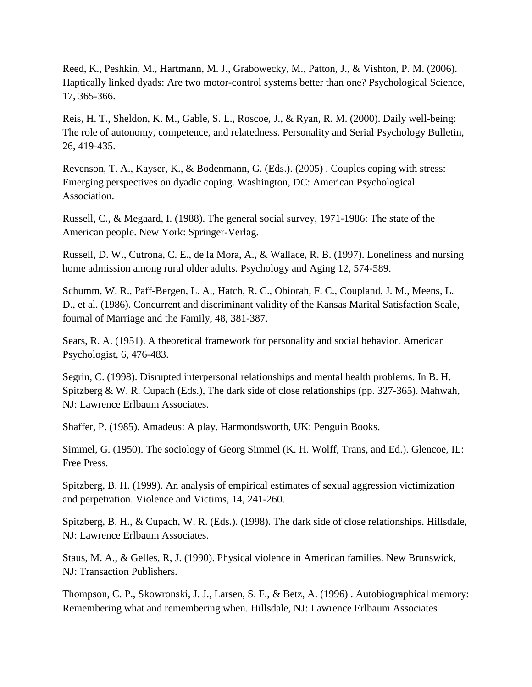Reed, K., Peshkin, M., Hartmann, M. J., Grabowecky, M., Patton, J., & Vishton, P. M. (2006). Haptically linked dyads: Are two motor-control systems better than one? Psychological Science, 17, 365-366.

Reis, H. T., Sheldon, K. M., Gable, S. L., Roscoe, J., & Ryan, R. M. (2000). Daily well-being: The role of autonomy, competence, and relatedness. Personality and Serial Psychology Bulletin, 26, 419-435.

Revenson, T. A., Kayser, K., & Bodenmann, G. (Eds.). (2005) . Couples coping with stress: Emerging perspectives on dyadic coping. Washington, DC: American Psychological Association.

Russell, C., & Megaard, I. (1988). The general social survey, 1971-1986: The state of the American people. New York: Springer-Verlag.

Russell, D. W., Cutrona, C. E., de la Mora, A., & Wallace, R. B. (1997). Loneliness and nursing home admission among rural older adults. Psychology and Aging 12, 574-589.

Schumm, W. R., Paff-Bergen, L. A., Hatch, R. C., Obiorah, F. C., Coupland, J. M., Meens, L. D., et al. (1986). Concurrent and discriminant validity of the Kansas Marital Satisfaction Scale, fournal of Marriage and the Family, 48, 381-387.

Sears, R. A. (1951). A theoretical framework for personality and social behavior. American Psychologist, 6, 476-483.

Segrin, C. (1998). Disrupted interpersonal relationships and mental health problems. In B. H. Spitzberg & W. R. Cupach (Eds.), The dark side of close relationships (pp. 327-365). Mahwah, NJ: Lawrence Erlbaum Associates.

Shaffer, P. (1985). Amadeus: A play. Harmondsworth, UK: Penguin Books.

Simmel, G. (1950). The sociology of Georg Simmel (K. H. Wolff, Trans, and Ed.). Glencoe, IL: Free Press.

Spitzberg, B. H. (1999). An analysis of empirical estimates of sexual aggression victimization and perpetration. Violence and Victims, 14, 241-260.

Spitzberg, B. H., & Cupach, W. R. (Eds.). (1998). The dark side of close relationships. Hillsdale, NJ: Lawrence Erlbaum Associates.

Staus, M. A., & Gelles, R, J. (1990). Physical violence in American families. New Brunswick, NJ: Transaction Publishers.

Thompson, C. P., Skowronski, J. J., Larsen, S. F., & Betz, A. (1996) . Autobiographical memory: Remembering what and remembering when. Hillsdale, NJ: Lawrence Erlbaum Associates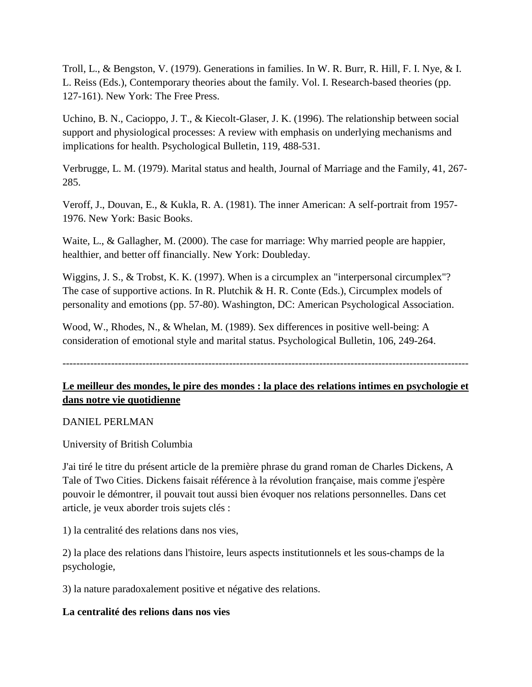Troll, L., & Bengston, V. (1979). Generations in families. In W. R. Burr, R. Hill, F. I. Nye, & I. L. Reiss (Eds.), Contemporary theories about the family. Vol. I. Research-based theories (pp. 127-161). New York: The Free Press.

Uchino, B. N., Cacioppo, J. T., & Kiecolt-Glaser, J. K. (1996). The relationship between social support and physiological processes: A review with emphasis on underlying mechanisms and implications for health. Psychological Bulletin, 119, 488-531.

Verbrugge, L. M. (1979). Marital status and health, Journal of Marriage and the Family, 41, 267- 285.

Veroff, J., Douvan, E., & Kukla, R. A. (1981). The inner American: A self-portrait from 1957- 1976. New York: Basic Books.

Waite, L., & Gallagher, M. (2000). The case for marriage: Why married people are happier, healthier, and better off financially. New York: Doubleday.

Wiggins, J. S., & Trobst, K. K. (1997). When is a circumplex an "interpersonal circumplex"? The case of supportive actions. In R. Plutchik & H. R. Conte (Eds.), Circumplex models of personality and emotions (pp. 57-80). Washington, DC: American Psychological Association.

Wood, W., Rhodes, N., & Whelan, M. (1989). Sex differences in positive well-being: A consideration of emotional style and marital status. Psychological Bulletin, 106, 249-264.

---------------------------------------------------------------------------------------------------------------------

# **Le meilleur des mondes, le pire des mondes : la place des relations intimes en psychologie et dans notre vie quotidienne**

#### DANIEL PERLMAN

University of British Columbia

J'ai tiré le titre du présent article de la première phrase du grand roman de Charles Dickens, A Tale of Two Cities. Dickens faisait référence à la révolution française, mais comme j'espère pouvoir le démontrer, il pouvait tout aussi bien évoquer nos relations personnelles. Dans cet article, je veux aborder trois sujets clés :

1) la centralité des relations dans nos vies,

2) la place des relations dans l'histoire, leurs aspects institutionnels et les sous-champs de la psychologie,

3) la nature paradoxalement positive et négative des relations.

#### **La centralité des relions dans nos vies**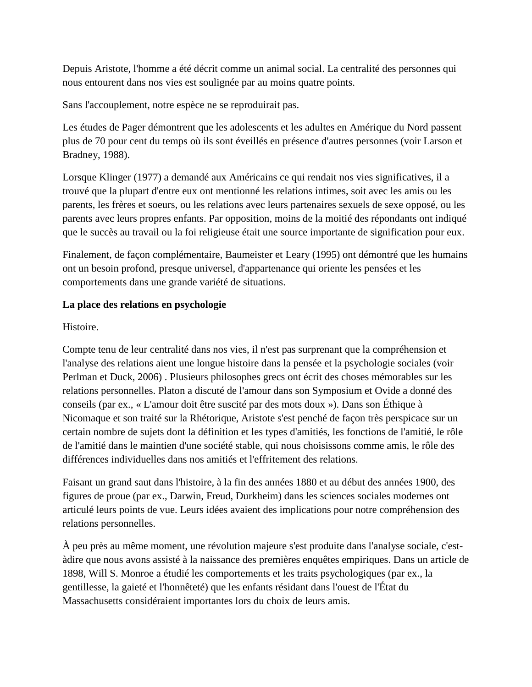Depuis Aristote, l'homme a été décrit comme un animal social. La centralité des personnes qui nous entourent dans nos vies est soulignée par au moins quatre points.

Sans l'accouplement, notre espèce ne se reproduirait pas.

Les études de Pager démontrent que les adolescents et les adultes en Amérique du Nord passent plus de 70 pour cent du temps où ils sont éveillés en présence d'autres personnes (voir Larson et Bradney, 1988).

Lorsque Klinger (1977) a demandé aux Américains ce qui rendait nos vies significatives, il a trouvé que la plupart d'entre eux ont mentionné les relations intimes, soit avec les amis ou les parents, les frères et soeurs, ou les relations avec leurs partenaires sexuels de sexe opposé, ou les parents avec leurs propres enfants. Par opposition, moins de la moitié des répondants ont indiqué que le succès au travail ou la foi religieuse était une source importante de signification pour eux.

Finalement, de façon complémentaire, Baumeister et Leary (1995) ont démontré que les humains ont un besoin profond, presque universel, d'appartenance qui oriente les pensées et les comportements dans une grande variété de situations.

## **La place des relations en psychologie**

## Histoire.

Compte tenu de leur centralité dans nos vies, il n'est pas surprenant que la compréhension et l'analyse des relations aient une longue histoire dans la pensée et la psychologie sociales (voir Perlman et Duck, 2006) . Plusieurs philosophes grecs ont écrit des choses mémorables sur les relations personnelles. Platon a discuté de l'amour dans son Symposium et Ovide a donné des conseils (par ex., « L'amour doit être suscité par des mots doux »). Dans son Éthique à Nicomaque et son traité sur la Rhétorique, Aristote s'est penché de façon très perspicace sur un certain nombre de sujets dont la définition et les types d'amitiés, les fonctions de l'amitié, le rôle de l'amitié dans le maintien d'une société stable, qui nous choisissons comme amis, le rôle des différences individuelles dans nos amitiés et l'effritement des relations.

Faisant un grand saut dans l'histoire, à la fin des années 1880 et au début des années 1900, des figures de proue (par ex., Darwin, Freud, Durkheim) dans les sciences sociales modernes ont articulé leurs points de vue. Leurs idées avaient des implications pour notre compréhension des relations personnelles.

À peu près au même moment, une révolution majeure s'est produite dans l'analyse sociale, c'estàdire que nous avons assisté à la naissance des premières enquêtes empiriques. Dans un article de 1898, Will S. Monroe a étudié les comportements et les traits psychologiques (par ex., la gentillesse, la gaieté et l'honnêteté) que les enfants résidant dans l'ouest de l'État du Massachusetts considéraient importantes lors du choix de leurs amis.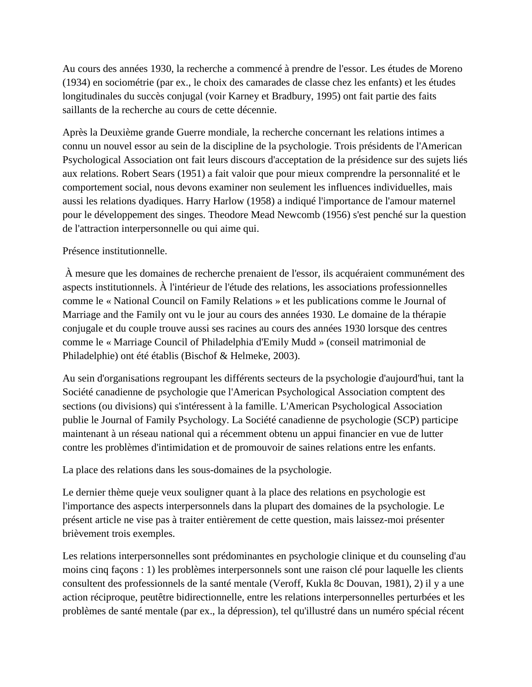Au cours des années 1930, la recherche a commencé à prendre de l'essor. Les études de Moreno (1934) en sociométrie (par ex., le choix des camarades de classe chez les enfants) et les études longitudinales du succès conjugal (voir Karney et Bradbury, 1995) ont fait partie des faits saillants de la recherche au cours de cette décennie.

Après la Deuxième grande Guerre mondiale, la recherche concernant les relations intimes a connu un nouvel essor au sein de la discipline de la psychologie. Trois présidents de l'American Psychological Association ont fait leurs discours d'acceptation de la présidence sur des sujets liés aux relations. Robert Sears (1951) a fait valoir que pour mieux comprendre la personnalité et le comportement social, nous devons examiner non seulement les influences individuelles, mais aussi les relations dyadiques. Harry Harlow (1958) a indiqué l'importance de l'amour maternel pour le développement des singes. Theodore Mead Newcomb (1956) s'est penché sur la question de l'attraction interpersonnelle ou qui aime qui.

### Présence institutionnelle.

À mesure que les domaines de recherche prenaient de l'essor, ils acquéraient communément des aspects institutionnels. À l'intérieur de l'étude des relations, les associations professionnelles comme le « National Council on Family Relations » et les publications comme le Journal of Marriage and the Family ont vu le jour au cours des années 1930. Le domaine de la thérapie conjugale et du couple trouve aussi ses racines au cours des années 1930 lorsque des centres comme le « Marriage Council of Philadelphia d'Emily Mudd » (conseil matrimonial de Philadelphie) ont été établis (Bischof & Helmeke, 2003).

Au sein d'organisations regroupant les différents secteurs de la psychologie d'aujourd'hui, tant la Société canadienne de psychologie que l'American Psychological Association comptent des sections (ou divisions) qui s'intéressent à la famille. L'American Psychological Association publie le Journal of Family Psychology. La Société canadienne de psychologie (SCP) participe maintenant à un réseau national qui a récemment obtenu un appui financier en vue de lutter contre les problèmes d'intimidation et de promouvoir de saines relations entre les enfants.

La place des relations dans les sous-domaines de la psychologie.

Le dernier thème queje veux souligner quant à la place des relations en psychologie est l'importance des aspects interpersonnels dans la plupart des domaines de la psychologie. Le présent article ne vise pas à traiter entièrement de cette question, mais laissez-moi présenter brièvement trois exemples.

Les relations interpersonnelles sont prédominantes en psychologie clinique et du counseling d'au moins cinq façons : 1) les problèmes interpersonnels sont une raison clé pour laquelle les clients consultent des professionnels de la santé mentale (Veroff, Kukla 8c Douvan, 1981), 2) il y a une action réciproque, peutêtre bidirectionnelle, entre les relations interpersonnelles perturbées et les problèmes de santé mentale (par ex., la dépression), tel qu'illustré dans un numéro spécial récent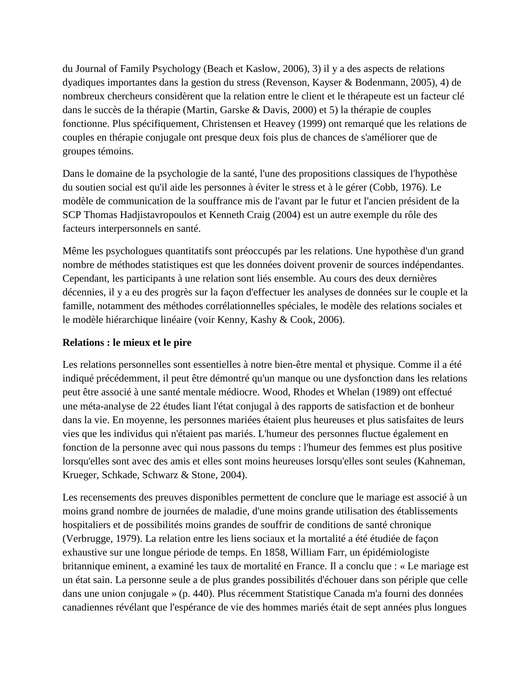du Journal of Family Psychology (Beach et Kaslow, 2006), 3) il y a des aspects de relations dyadiques importantes dans la gestion du stress (Revenson, Kayser & Bodenmann, 2005), 4) de nombreux chercheurs considèrent que la relation entre le client et le thérapeute est un facteur clé dans le succès de la thérapie (Martin, Garske & Davis, 2000) et 5) la thérapie de couples fonctionne. Plus spécifiquement, Christensen et Heavey (1999) ont remarqué que les relations de couples en thérapie conjugale ont presque deux fois plus de chances de s'améliorer que de groupes témoins.

Dans le domaine de la psychologie de la santé, l'une des propositions classiques de l'hypothèse du soutien social est qu'il aide les personnes à éviter le stress et à le gérer (Cobb, 1976). Le modèle de communication de la souffrance mis de l'avant par le futur et l'ancien président de la SCP Thomas Hadjistavropoulos et Kenneth Craig (2004) est un autre exemple du rôle des facteurs interpersonnels en santé.

Même les psychologues quantitatifs sont préoccupés par les relations. Une hypothèse d'un grand nombre de méthodes statistiques est que les données doivent provenir de sources indépendantes. Cependant, les participants à une relation sont liés ensemble. Au cours des deux dernières décennies, il y a eu des progrès sur la façon d'effectuer les analyses de données sur le couple et la famille, notamment des méthodes corrélationnelles spéciales, le modèle des relations sociales et le modèle hiérarchique linéaire (voir Kenny, Kashy & Cook, 2006).

#### **Relations : le mieux et le pire**

Les relations personnelles sont essentielles à notre bien-être mental et physique. Comme il a été indiqué précédemment, il peut être démontré qu'un manque ou une dysfonction dans les relations peut être associé à une santé mentale médiocre. Wood, Rhodes et Whelan (1989) ont effectué une méta-analyse de 22 études liant l'état conjugal à des rapports de satisfaction et de bonheur dans la vie. En moyenne, les personnes mariées étaient plus heureuses et plus satisfaites de leurs vies que les individus qui n'étaient pas mariés. L'humeur des personnes fluctue également en fonction de la personne avec qui nous passons du temps : l'humeur des femmes est plus positive lorsqu'elles sont avec des amis et elles sont moins heureuses lorsqu'elles sont seules (Kahneman, Krueger, Schkade, Schwarz & Stone, 2004).

Les recensements des preuves disponibles permettent de conclure que le mariage est associé à un moins grand nombre de journées de maladie, d'une moins grande utilisation des établissements hospitaliers et de possibilités moins grandes de souffrir de conditions de santé chronique (Verbrugge, 1979). La relation entre les liens sociaux et la mortalité a été étudiée de façon exhaustive sur une longue période de temps. En 1858, William Farr, un épidémiologiste britannique eminent, a examiné les taux de mortalité en France. Il a conclu que : « Le mariage est un état sain. La personne seule a de plus grandes possibilités d'échouer dans son périple que celle dans une union conjugale » (p. 440). Plus récemment Statistique Canada m'a fourni des données canadiennes révélant que l'espérance de vie des hommes mariés était de sept années plus longues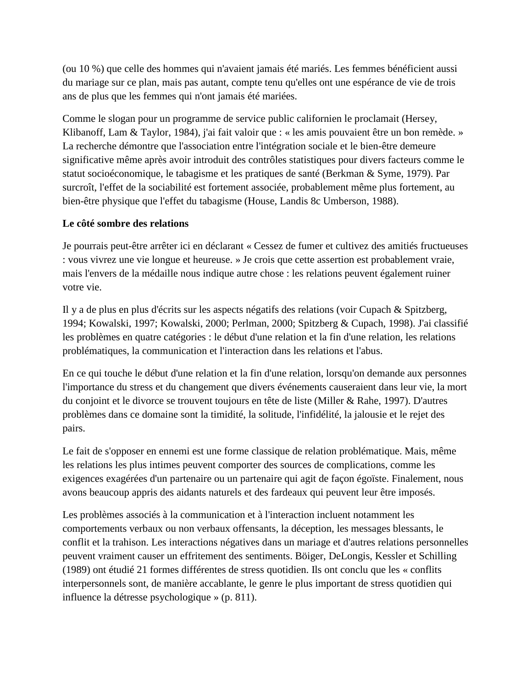(ou 10 %) que celle des hommes qui n'avaient jamais été mariés. Les femmes bénéficient aussi du mariage sur ce plan, mais pas autant, compte tenu qu'elles ont une espérance de vie de trois ans de plus que les femmes qui n'ont jamais été mariées.

Comme le slogan pour un programme de service public californien le proclamait (Hersey, Klibanoff, Lam & Taylor, 1984), j'ai fait valoir que : « les amis pouvaient être un bon remède. » La recherche démontre que l'association entre l'intégration sociale et le bien-être demeure significative même après avoir introduit des contrôles statistiques pour divers facteurs comme le statut socioéconomique, le tabagisme et les pratiques de santé (Berkman & Syme, 1979). Par surcroît, l'effet de la sociabilité est fortement associée, probablement même plus fortement, au bien-être physique que l'effet du tabagisme (House, Landis 8c Umberson, 1988).

### **Le côté sombre des relations**

Je pourrais peut-être arrêter ici en déclarant « Cessez de fumer et cultivez des amitiés fructueuses : vous vivrez une vie longue et heureuse. » Je crois que cette assertion est probablement vraie, mais l'envers de la médaille nous indique autre chose : les relations peuvent également ruiner votre vie.

Il y a de plus en plus d'écrits sur les aspects négatifs des relations (voir Cupach & Spitzberg, 1994; Kowalski, 1997; Kowalski, 2000; Perlman, 2000; Spitzberg & Cupach, 1998). J'ai classifié les problèmes en quatre catégories : le début d'une relation et la fin d'une relation, les relations problématiques, la communication et l'interaction dans les relations et l'abus.

En ce qui touche le début d'une relation et la fin d'une relation, lorsqu'on demande aux personnes l'importance du stress et du changement que divers événements causeraient dans leur vie, la mort du conjoint et le divorce se trouvent toujours en tête de liste (Miller & Rahe, 1997). D'autres problèmes dans ce domaine sont la timidité, la solitude, l'infidélité, la jalousie et le rejet des pairs.

Le fait de s'opposer en ennemi est une forme classique de relation problématique. Mais, même les relations les plus intimes peuvent comporter des sources de complications, comme les exigences exagérées d'un partenaire ou un partenaire qui agit de façon égoïste. Finalement, nous avons beaucoup appris des aidants naturels et des fardeaux qui peuvent leur être imposés.

Les problèmes associés à la communication et à l'interaction incluent notamment les comportements verbaux ou non verbaux offensants, la déception, les messages blessants, le conflit et la trahison. Les interactions négatives dans un mariage et d'autres relations personnelles peuvent vraiment causer un effritement des sentiments. Böiger, DeLongis, Kessler et Schilling (1989) ont étudié 21 formes différentes de stress quotidien. Ils ont conclu que les « conflits interpersonnels sont, de manière accablante, le genre le plus important de stress quotidien qui influence la détresse psychologique » (p. 811).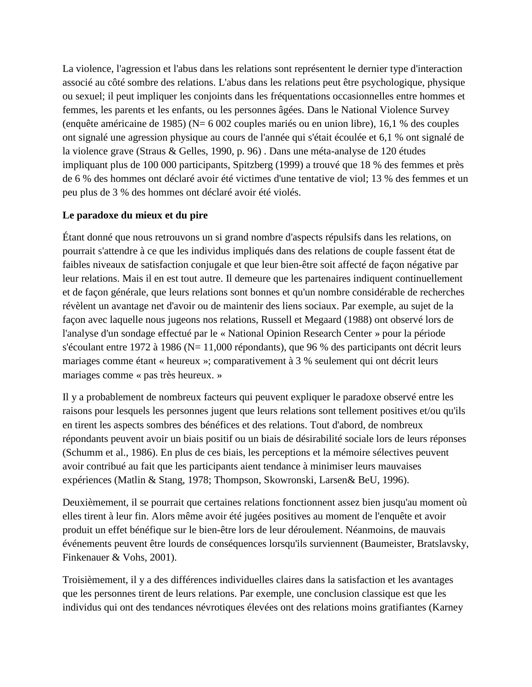La violence, l'agression et l'abus dans les relations sont représentent le dernier type d'interaction associé au côté sombre des relations. L'abus dans les relations peut être psychologique, physique ou sexuel; il peut impliquer les conjoints dans les fréquentations occasionnelles entre hommes et femmes, les parents et les enfants, ou les personnes âgées. Dans le National Violence Survey (enquête américaine de 1985) (N= 6 002 couples mariés ou en union libre), 16,1 % des couples ont signalé une agression physique au cours de l'année qui s'était écoulée et 6,1 % ont signalé de la violence grave (Straus & Gelles, 1990, p. 96) . Dans une méta-analyse de 120 études impliquant plus de 100 000 participants, Spitzberg (1999) a trouvé que 18 % des femmes et près de 6 % des hommes ont déclaré avoir été victimes d'une tentative de viol; 13 % des femmes et un peu plus de 3 % des hommes ont déclaré avoir été violés.

## **Le paradoxe du mieux et du pire**

Étant donné que nous retrouvons un si grand nombre d'aspects répulsifs dans les relations, on pourrait s'attendre à ce que les individus impliqués dans des relations de couple fassent état de faibles niveaux de satisfaction conjugale et que leur bien-être soit affecté de façon négative par leur relations. Mais il en est tout autre. Il demeure que les partenaires indiquent continuellement et de façon générale, que leurs relations sont bonnes et qu'un nombre considérable de recherches révèlent un avantage net d'avoir ou de maintenir des liens sociaux. Par exemple, au sujet de la façon avec laquelle nous jugeons nos relations, Russell et Megaard (1988) ont observé lors de l'analyse d'un sondage effectué par le « National Opinion Research Center » pour la période s'écoulant entre 1972 à 1986 (N= 11,000 répondants), que 96 % des participants ont décrit leurs mariages comme étant « heureux »; comparativement à 3 % seulement qui ont décrit leurs mariages comme « pas très heureux. »

Il y a probablement de nombreux facteurs qui peuvent expliquer le paradoxe observé entre les raisons pour lesquels les personnes jugent que leurs relations sont tellement positives et/ou qu'ils en tirent les aspects sombres des bénéfices et des relations. Tout d'abord, de nombreux répondants peuvent avoir un biais positif ou un biais de désirabilité sociale lors de leurs réponses (Schumm et al., 1986). En plus de ces biais, les perceptions et la mémoire sélectives peuvent avoir contribué au fait que les participants aient tendance à minimiser leurs mauvaises expériences (Matlin & Stang, 1978; Thompson, Skowronski, Larsen& BeU, 1996).

Deuxièmement, il se pourrait que certaines relations fonctionnent assez bien jusqu'au moment où elles tirent à leur fin. Alors même avoir été jugées positives au moment de l'enquête et avoir produit un effet bénéfique sur le bien-être lors de leur déroulement. Néanmoins, de mauvais événements peuvent être lourds de conséquences lorsqu'ils surviennent (Baumeister, Bratslavsky, Finkenauer & Vohs, 2001).

Troisièmement, il y a des différences individuelles claires dans la satisfaction et les avantages que les personnes tirent de leurs relations. Par exemple, une conclusion classique est que les individus qui ont des tendances névrotiques élevées ont des relations moins gratifiantes (Karney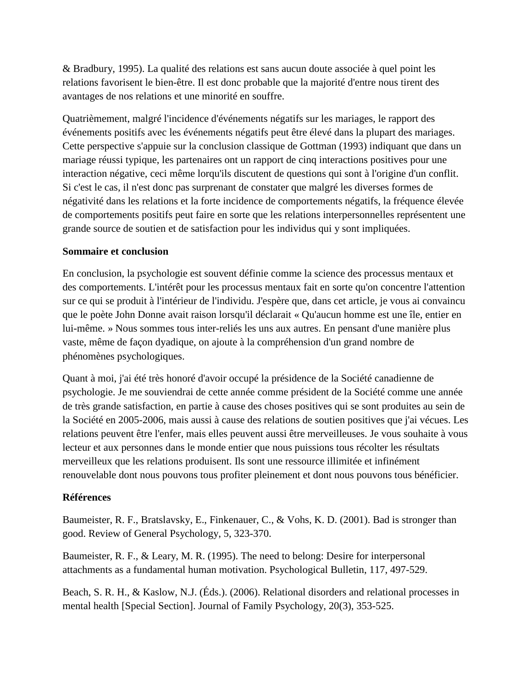& Bradbury, 1995). La qualité des relations est sans aucun doute associée à quel point les relations favorisent le bien-être. Il est donc probable que la majorité d'entre nous tirent des avantages de nos relations et une minorité en souffre.

Quatrièmement, malgré l'incidence d'événements négatifs sur les mariages, le rapport des événements positifs avec les événements négatifs peut être élevé dans la plupart des mariages. Cette perspective s'appuie sur la conclusion classique de Gottman (1993) indiquant que dans un mariage réussi typique, les partenaires ont un rapport de cinq interactions positives pour une interaction négative, ceci même lorqu'ils discutent de questions qui sont à l'origine d'un conflit. Si c'est le cas, il n'est donc pas surprenant de constater que malgré les diverses formes de négativité dans les relations et la forte incidence de comportements négatifs, la fréquence élevée de comportements positifs peut faire en sorte que les relations interpersonnelles représentent une grande source de soutien et de satisfaction pour les individus qui y sont impliquées.

#### **Sommaire et conclusion**

En conclusion, la psychologie est souvent définie comme la science des processus mentaux et des comportements. L'intérêt pour les processus mentaux fait en sorte qu'on concentre l'attention sur ce qui se produit à l'intérieur de l'individu. J'espère que, dans cet article, je vous ai convaincu que le poète John Donne avait raison lorsqu'il déclarait « Qu'aucun homme est une île, entier en lui-même. » Nous sommes tous inter-reliés les uns aux autres. En pensant d'une manière plus vaste, même de façon dyadique, on ajoute à la compréhension d'un grand nombre de phénomènes psychologiques.

Quant à moi, j'ai été très honoré d'avoir occupé la présidence de la Société canadienne de psychologie. Je me souviendrai de cette année comme président de la Société comme une année de très grande satisfaction, en partie à cause des choses positives qui se sont produites au sein de la Société en 2005-2006, mais aussi à cause des relations de soutien positives que j'ai vécues. Les relations peuvent être l'enfer, mais elles peuvent aussi être merveilleuses. Je vous souhaite à vous lecteur et aux personnes dans le monde entier que nous puissions tous récolter les résultats merveilleux que les relations produisent. Ils sont une ressource illimitée et infinément renouvelable dont nous pouvons tous profiter pleinement et dont nous pouvons tous bénéficier.

### **Références**

Baumeister, R. F., Bratslavsky, E., Finkenauer, C., & Vohs, K. D. (2001). Bad is stronger than good. Review of General Psychology, 5, 323-370.

Baumeister, R. F., & Leary, M. R. (1995). The need to belong: Desire for interpersonal attachments as a fundamental human motivation. Psychological Bulletin, 117, 497-529.

Beach, S. R. H., & Kaslow, N.J. (Éds.). (2006). Relational disorders and relational processes in mental health [Special Section]. Journal of Family Psychology, 20(3), 353-525.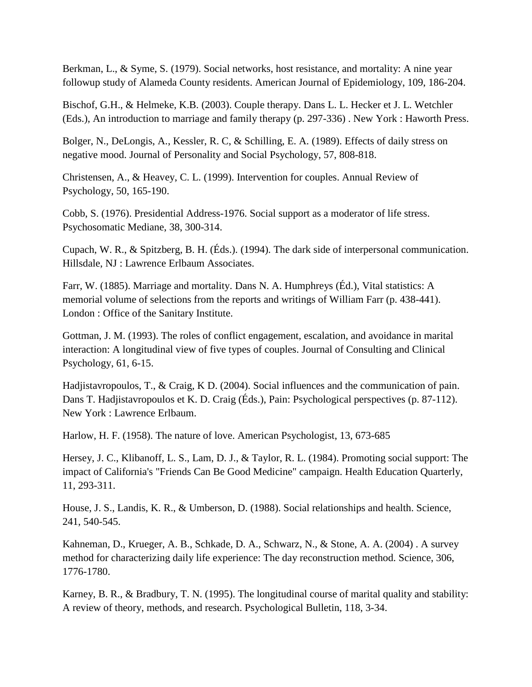Berkman, L., & Syme, S. (1979). Social networks, host resistance, and mortality: A nine year followup study of Alameda County residents. American Journal of Epidemiology, 109, 186-204.

Bischof, G.H., & Helmeke, K.B. (2003). Couple therapy. Dans L. L. Hecker et J. L. Wetchler (Eds.), An introduction to marriage and family therapy (p. 297-336) . New York : Haworth Press.

Bolger, N., DeLongis, A., Kessler, R. C, & Schilling, E. A. (1989). Effects of daily stress on negative mood. Journal of Personality and Social Psychology, 57, 808-818.

Christensen, A., & Heavey, C. L. (1999). Intervention for couples. Annual Review of Psychology, 50, 165-190.

Cobb, S. (1976). Presidential Address-1976. Social support as a moderator of life stress. Psychosomatic Mediane, 38, 300-314.

Cupach, W. R., & Spitzberg, B. H. (Éds.). (1994). The dark side of interpersonal communication. Hillsdale, NJ : Lawrence Erlbaum Associates.

Farr, W. (1885). Marriage and mortality. Dans N. A. Humphreys (Éd.), Vital statistics: A memorial volume of selections from the reports and writings of William Farr (p. 438-441). London : Office of the Sanitary Institute.

Gottman, J. M. (1993). The roles of conflict engagement, escalation, and avoidance in marital interaction: A longitudinal view of five types of couples. Journal of Consulting and Clinical Psychology, 61, 6-15.

Hadjistavropoulos, T., & Craig, K D. (2004). Social influences and the communication of pain. Dans T. Hadjistavropoulos et K. D. Craig (Éds.), Pain: Psychological perspectives (p. 87-112). New York : Lawrence Erlbaum.

Harlow, H. F. (1958). The nature of love. American Psychologist, 13, 673-685

Hersey, J. C., Klibanoff, L. S., Lam, D. J., & Taylor, R. L. (1984). Promoting social support: The impact of California's "Friends Can Be Good Medicine" campaign. Health Education Quarterly, 11, 293-311.

House, J. S., Landis, K. R., & Umberson, D. (1988). Social relationships and health. Science, 241, 540-545.

Kahneman, D., Krueger, A. B., Schkade, D. A., Schwarz, N., & Stone, A. A. (2004) . A survey method for characterizing daily life experience: The day reconstruction method. Science, 306, 1776-1780.

Karney, B. R., & Bradbury, T. N. (1995). The longitudinal course of marital quality and stability: A review of theory, methods, and research. Psychological Bulletin, 118, 3-34.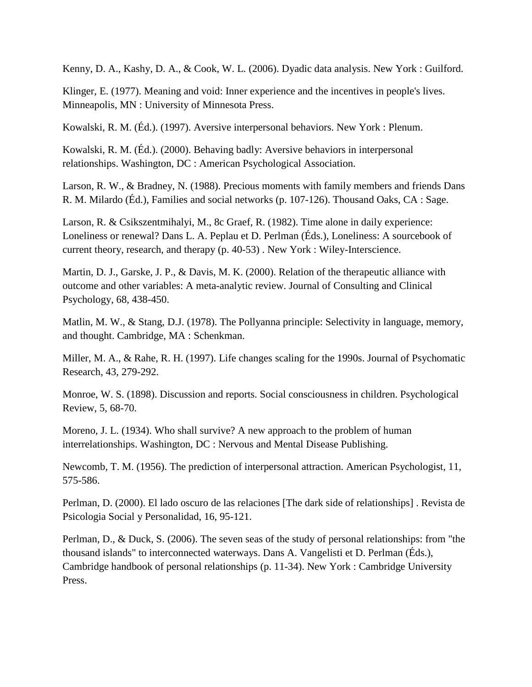Kenny, D. A., Kashy, D. A., & Cook, W. L. (2006). Dyadic data analysis. New York : Guilford.

Klinger, E. (1977). Meaning and void: Inner experience and the incentives in people's lives. Minneapolis, MN : University of Minnesota Press.

Kowalski, R. M. (Éd.). (1997). Aversive interpersonal behaviors. New York : Plenum.

Kowalski, R. M. (Éd.). (2000). Behaving badly: Aversive behaviors in interpersonal relationships. Washington, DC : American Psychological Association.

Larson, R. W., & Bradney, N. (1988). Precious moments with family members and friends Dans R. M. Milardo (Éd.), Families and social networks (p. 107-126). Thousand Oaks, CA : Sage.

Larson, R. & Csikszentmihalyi, M., 8c Graef, R. (1982). Time alone in daily experience: Loneliness or renewal? Dans L. A. Peplau et D. Perlman (Éds.), Loneliness: A sourcebook of current theory, research, and therapy (p. 40-53) . New York : Wiley-Interscience.

Martin, D. J., Garske, J. P., & Davis, M. K. (2000). Relation of the therapeutic alliance with outcome and other variables: A meta-analytic review. Journal of Consulting and Clinical Psychology, 68, 438-450.

Matlin, M. W., & Stang, D.J. (1978). The Pollyanna principle: Selectivity in language, memory, and thought. Cambridge, MA : Schenkman.

Miller, M. A., & Rahe, R. H. (1997). Life changes scaling for the 1990s. Journal of Psychomatic Research, 43, 279-292.

Monroe, W. S. (1898). Discussion and reports. Social consciousness in children. Psychological Review, 5, 68-70.

Moreno, J. L. (1934). Who shall survive? A new approach to the problem of human interrelationships. Washington, DC : Nervous and Mental Disease Publishing.

Newcomb, T. M. (1956). The prediction of interpersonal attraction. American Psychologist, 11, 575-586.

Perlman, D. (2000). El lado oscuro de las relaciones [The dark side of relationships] . Revista de Psicologia Social y Personalidad, 16, 95-121.

Perlman, D., & Duck, S. (2006). The seven seas of the study of personal relationships: from "the thousand islands" to interconnected waterways. Dans A. Vangelisti et D. Perlman (Éds.), Cambridge handbook of personal relationships (p. 11-34). New York : Cambridge University Press.